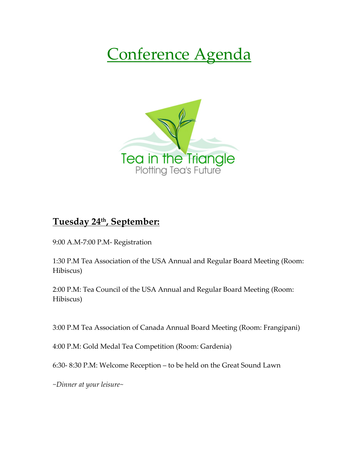## Conference Agenda



## **Tuesday 24th, September:**

9:00 A.M-7:00 P.M- Registration

1:30 P.M Tea Association of the USA Annual and Regular Board Meeting (Room: Hibiscus)

2:00 P.M: Tea Council of the USA Annual and Regular Board Meeting (Room: Hibiscus)

3:00 P.M Tea Association of Canada Annual Board Meeting (Room: Frangipani)

4:00 P.M: Gold Medal Tea Competition (Room: Gardenia)

6:30- 8:30 P.M: Welcome Reception – to be held on the Great Sound Lawn

*~Dinner at your leisure~*